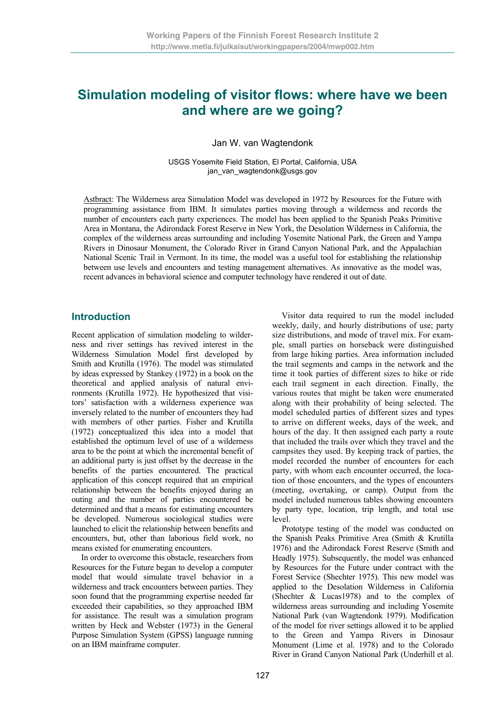# **Simulation modeling of visitor flows: where have we been and where are we going?**

Jan W. van Wagtendonk

USGS Yosemite Field Station, El Portal, California, USA jan\_van\_wagtendonk@usgs.gov

Astbract: The Wilderness area Simulation Model was developed in 1972 by Resources for the Future with programming assistance from IBM. It simulates parties moving through a wilderness and records the number of encounters each party experiences. The model has been applied to the Spanish Peaks Primitive Area in Montana, the Adirondack Forest Reserve in New York, the Desolation Wilderness in California, the complex of the wilderness areas surrounding and including Yosemite National Park, the Green and Yampa Rivers in Dinosaur Monument, the Colorado River in Grand Canyon National Park, and the Appalachian National Scenic Trail in Vermont. In its time, the model was a useful tool for establishing the relationship between use levels and encounters and testing management alternatives. As innovative as the model was, recent advances in behavioral science and computer technology have rendered it out of date.

#### **Introduction**

Recent application of simulation modeling to wilderness and river settings has revived interest in the Wilderness Simulation Model first developed by Smith and Krutilla (1976). The model was stimulated by ideas expressed by Stankey (1972) in a book on the theoretical and applied analysis of natural environments (Krutilla 1972). He hypothesized that visitors' satisfaction with a wilderness experience was inversely related to the number of encounters they had with members of other parties. Fisher and Krutilla (1972) conceptualized this idea into a model that established the optimum level of use of a wilderness area to be the point at which the incremental benefit of an additional party is just offset by the decrease in the benefits of the parties encountered. The practical application of this concept required that an empirical relationship between the benefits enjoyed during an outing and the number of parties encountered be determined and that a means for estimating encounters be developed. Numerous sociological studies were launched to elicit the relationship between benefits and encounters, but, other than laborious field work, no means existed for enumerating encounters.

In order to overcome this obstacle, researchers from Resources for the Future began to develop a computer model that would simulate travel behavior in a wilderness and track encounters between parties. They soon found that the programming expertise needed far exceeded their capabilities, so they approached IBM for assistance. The result was a simulation program written by Heck and Webster (1973) in the General Purpose Simulation System (GPSS) language running on an IBM mainframe computer.

Visitor data required to run the model included weekly, daily, and hourly distributions of use; party size distributions, and mode of travel mix. For example, small parties on horseback were distinguished from large hiking parties. Area information included the trail segments and camps in the network and the time it took parties of different sizes to hike or ride each trail segment in each direction. Finally, the various routes that might be taken were enumerated along with their probability of being selected. The model scheduled parties of different sizes and types to arrive on different weeks, days of the week, and hours of the day. It then assigned each party a route that included the trails over which they travel and the campsites they used. By keeping track of parties, the model recorded the number of encounters for each party, with whom each encounter occurred, the location of those encounters, and the types of encounters (meeting, overtaking, or camp). Output from the model included numerous tables showing encounters by party type, location, trip length, and total use level.

Prototype testing of the model was conducted on the Spanish Peaks Primitive Area (Smith & Krutilla 1976) and the Adirondack Forest Reserve (Smith and Headly 1975). Subsequently, the model was enhanced by Resources for the Future under contract with the Forest Service (Shechter 1975). This new model was applied to the Desolation Wilderness in California (Shechter & Lucas1978) and to the complex of wilderness areas surrounding and including Yosemite National Park (van Wagtendonk 1979). Modification of the model for river settings allowed it to be applied to the Green and Yampa Rivers in Dinosaur Monument (Lime et al. 1978) and to the Colorado River in Grand Canyon National Park (Underhill et al.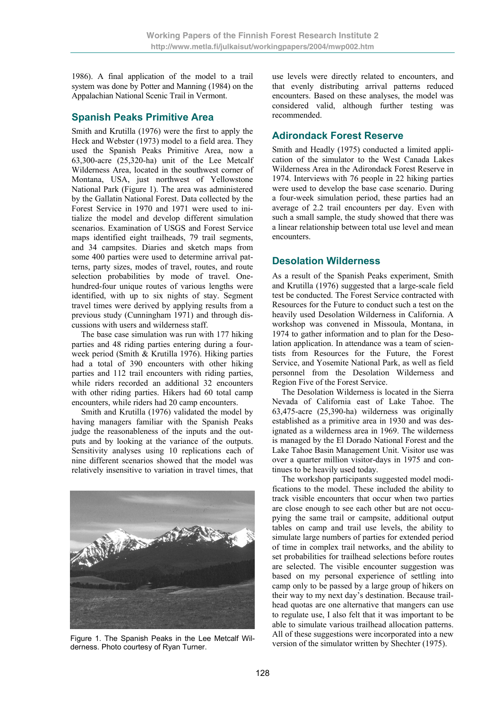1986). A final application of the model to a trail system was done by Potter and Manning (1984) on the Appalachian National Scenic Trail in Vermont.

### **Spanish Peaks Primitive Area**

Smith and Krutilla (1976) were the first to apply the Heck and Webster (1973) model to a field area. They used the Spanish Peaks Primitive Area, now a 63,300-acre (25,320-ha) unit of the Lee Metcalf Wilderness Area, located in the southwest corner of Montana, USA, just northwest of Yellowstone National Park (Figure 1). The area was administered by the Gallatin National Forest. Data collected by the Forest Service in 1970 and 1971 were used to initialize the model and develop different simulation scenarios. Examination of USGS and Forest Service maps identified eight trailheads, 79 trail segments, and 34 campsites. Diaries and sketch maps from some 400 parties were used to determine arrival patterns, party sizes, modes of travel, routes, and route selection probabilities by mode of travel. Onehundred-four unique routes of various lengths were identified, with up to six nights of stay. Segment travel times were derived by applying results from a previous study (Cunningham 1971) and through discussions with users and wilderness staff.

The base case simulation was run with 177 hiking parties and 48 riding parties entering during a fourweek period (Smith & Krutilla 1976). Hiking parties had a total of 390 encounters with other hiking parties and 112 trail encounters with riding parties, while riders recorded an additional 32 encounters with other riding parties. Hikers had 60 total camp encounters, while riders had 20 camp encounters.

Smith and Krutilla (1976) validated the model by having managers familiar with the Spanish Peaks judge the reasonableness of the inputs and the outputs and by looking at the variance of the outputs. Sensitivity analyses using 10 replications each of nine different scenarios showed that the model was relatively insensitive to variation in travel times, that



Figure 1. The Spanish Peaks in the Lee Metcalf Wil-<br>derness Photo courtesy of Pyan Turner derness. Photo courtesy of Ryan Turner.

use levels were directly related to encounters, and that evenly distributing arrival patterns reduced encounters. Based on these analyses, the model was considered valid, although further testing was recommended.

### **Adirondack Forest Reserve**

Smith and Headly (1975) conducted a limited application of the simulator to the West Canada Lakes Wilderness Area in the Adirondack Forest Reserve in 1974. Interviews with 76 people in 22 hiking parties were used to develop the base case scenario. During a four-week simulation period, these parties had an average of 2.2 trail encounters per day. Even with such a small sample, the study showed that there was a linear relationship between total use level and mean encounters.

# **Desolation Wilderness**

As a result of the Spanish Peaks experiment, Smith and Krutilla (1976) suggested that a large-scale field test be conducted. The Forest Service contracted with Resources for the Future to conduct such a test on the heavily used Desolation Wilderness in California. A workshop was convened in Missoula, Montana, in 1974 to gather information and to plan for the Desolation application. In attendance was a team of scientists from Resources for the Future, the Forest Service, and Yosemite National Park, as well as field personnel from the Desolation Wilderness and Region Five of the Forest Service.

The Desolation Wilderness is located in the Sierra Nevada of California east of Lake Tahoe. The 63,475-acre (25,390-ha) wilderness was originally established as a primitive area in 1930 and was designated as a wilderness area in 1969. The wilderness is managed by the El Dorado National Forest and the Lake Tahoe Basin Management Unit. Visitor use was over a quarter million visitor-days in 1975 and continues to be heavily used today.

The workshop participants suggested model modifications to the model. These included the ability to track visible encounters that occur when two parties are close enough to see each other but are not occupying the same trail or campsite, additional output tables on camp and trail use levels, the ability to simulate large numbers of parties for extended period of time in complex trail networks, and the ability to set probabilities for trailhead selections before routes are selected. The visible encounter suggestion was based on my personal experience of settling into camp only to be passed by a large group of hikers on their way to my next day's destination. Because trailhead quotas are one alternative that mangers can use to regulate use, I also felt that it was important to be able to simulate various trailhead allocation patterns. All of these suggestions were incorporated into a new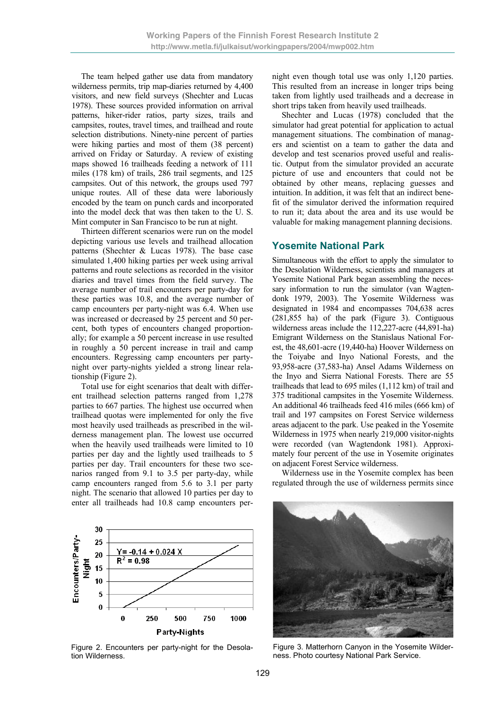The team helped gather use data from mandatory wilderness permits, trip map-diaries returned by 4,400 visitors, and new field surveys (Shechter and Lucas 1978). These sources provided information on arrival patterns, hiker-rider ratios, party sizes, trails and campsites, routes, travel times, and trailhead and route selection distributions. Ninety-nine percent of parties were hiking parties and most of them (38 percent) arrived on Friday or Saturday. A review of existing maps showed 16 trailheads feeding a network of 111 miles (178 km) of trails, 286 trail segments, and 125 campsites. Out of this network, the groups used 797 unique routes. All of these data were laboriously encoded by the team on punch cards and incorporated into the model deck that was then taken to the U. S. Mint computer in San Francisco to be run at night.

Thirteen different scenarios were run on the model depicting various use levels and trailhead allocation patterns (Shechter & Lucas 1978). The base case simulated 1,400 hiking parties per week using arrival patterns and route selections as recorded in the visitor diaries and travel times from the field survey. The average number of trail encounters per party-day for these parties was 10.8, and the average number of camp encounters per party-night was 6.4. When use was increased or decreased by 25 percent and 50 percent, both types of encounters changed proportionally; for example a 50 percent increase in use resulted in roughly a 50 percent increase in trail and camp encounters. Regressing camp encounters per partynight over party-nights yielded a strong linear relationship (Figure 2).

Total use for eight scenarios that dealt with different trailhead selection patterns ranged from 1,278 parties to 667 parties. The highest use occurred when trailhead quotas were implemented for only the five most heavily used trailheads as prescribed in the wilderness management plan. The lowest use occurred when the heavily used trailheads were limited to 10 parties per day and the lightly used trailheads to 5 parties per day. Trail encounters for these two scenarios ranged from 9.1 to 3.5 per party-day, while camp encounters ranged from 5.6 to 3.1 per party night. The scenario that allowed 10 parties per day to enter all trailheads had 10.8 camp encounters per-



Figure 2. Encounters per party-night for the Desolation Wilderness.

night even though total use was only 1,120 parties. This resulted from an increase in longer trips being taken from lightly used trailheads and a decrease in short trips taken from heavily used trailheads.

Shechter and Lucas (1978) concluded that the simulator had great potential for application to actual management situations. The combination of managers and scientist on a team to gather the data and develop and test scenarios proved useful and realistic. Output from the simulator provided an accurate picture of use and encounters that could not be obtained by other means, replacing guesses and intuition. In addition, it was felt that an indirect benefit of the simulator derived the information required to run it; data about the area and its use would be valuable for making management planning decisions.

#### **Yosemite National Park**

Simultaneous with the effort to apply the simulator to the Desolation Wilderness, scientists and managers at Yosemite National Park began assembling the necessary information to run the simulator (van Wagtendonk 1979, 2003). The Yosemite Wilderness was designated in 1984 and encompasses 704,638 acres (281,855 ha) of the park (Figure 3). Contiguous wilderness areas include the 112,227-acre (44,891-ha) Emigrant Wilderness on the Stanislaus National Forest, the 48,601-acre (19,440-ha) Hoover Wilderness on the Toiyabe and Inyo National Forests, and the 93,958-acre (37,583-ha) Ansel Adams Wilderness on the Inyo and Sierra National Forests. There are 55 trailheads that lead to 695 miles (1,112 km) of trail and 375 traditional campsites in the Yosemite Wilderness. An additional 46 trailheads feed 416 miles (666 km) of trail and 197 campsites on Forest Service wilderness areas adjacent to the park. Use peaked in the Yosemite Wilderness in 1975 when nearly 219,000 visitor-nights were recorded (van Wagtendonk 1981). Approximately four percent of the use in Yosemite originates on adjacent Forest Service wilderness.

Wilderness use in the Yosemite complex has been regulated through the use of wilderness permits since



Figure 3. Matterhorn Canyon in the Yosemite Wilderness. Photo courtesy National Park Service.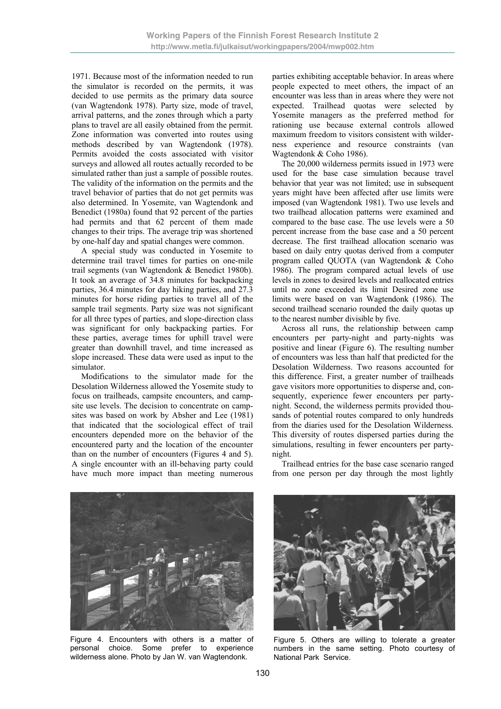1971. Because most of the information needed to run the simulator is recorded on the permits, it was decided to use permits as the primary data source (van Wagtendonk 1978). Party size, mode of travel, arrival patterns, and the zones through which a party plans to travel are all easily obtained from the permit. Zone information was converted into routes using methods described by van Wagtendonk (1978). Permits avoided the costs associated with visitor surveys and allowed all routes actually recorded to be simulated rather than just a sample of possible routes. The validity of the information on the permits and the travel behavior of parties that do not get permits was also determined. In Yosemite, van Wagtendonk and Benedict (1980a) found that 92 percent of the parties had permits and that 62 percent of them made changes to their trips. The average trip was shortened by one-half day and spatial changes were common.

A special study was conducted in Yosemite to determine trail travel times for parties on one-mile trail segments (van Wagtendonk & Benedict 1980b). It took an average of 34.8 minutes for backpacking parties, 36.4 minutes for day hiking parties, and 27.3 minutes for horse riding parties to travel all of the sample trail segments. Party size was not significant for all three types of parties, and slope-direction class was significant for only backpacking parties. For these parties, average times for uphill travel were greater than downhill travel, and time increased as slope increased. These data were used as input to the simulator.

Modifications to the simulator made for the Desolation Wilderness allowed the Yosemite study to focus on trailheads, campsite encounters, and campsite use levels. The decision to concentrate on campsites was based on work by Absher and Lee (1981) that indicated that the sociological effect of trail encounters depended more on the behavior of the encountered party and the location of the encounter than on the number of encounters (Figures 4 and 5). A single encounter with an ill-behaving party could have much more impact than meeting numerous parties exhibiting acceptable behavior. In areas where people expected to meet others, the impact of an encounter was less than in areas where they were not expected. Trailhead quotas were selected by Yosemite managers as the preferred method for rationing use because external controls allowed maximum freedom to visitors consistent with wilderness experience and resource constraints (van Wagtendonk & Coho 1986).

The 20,000 wilderness permits issued in 1973 were used for the base case simulation because travel behavior that year was not limited; use in subsequent years might have been affected after use limits were imposed (van Wagtendonk 1981). Two use levels and two trailhead allocation patterns were examined and compared to the base case. The use levels were a 50 percent increase from the base case and a 50 percent decrease. The first trailhead allocation scenario was based on daily entry quotas derived from a computer program called QUOTA (van Wagtendonk & Coho 1986). The program compared actual levels of use levels in zones to desired levels and reallocated entries until no zone exceeded its limit Desired zone use limits were based on van Wagtendonk (1986). The second trailhead scenario rounded the daily quotas up to the nearest number divisible by five.

Across all runs, the relationship between camp encounters per party-night and party-nights was positive and linear (Figure 6). The resulting number of encounters was less than half that predicted for the Desolation Wilderness. Two reasons accounted for this difference. First, a greater number of trailheads gave visitors more opportunities to disperse and, consequently, experience fewer encounters per partynight. Second, the wilderness permits provided thousands of potential routes compared to only hundreds from the diaries used for the Desolation Wilderness. This diversity of routes dispersed parties during the simulations, resulting in fewer encounters per partynight.

Trailhead entries for the base case scenario ranged from one person per day through the most lightly



Figure 4. Encounters with others is a matter of personal choice. Some prefer to experience wilderness alone. Photo by Jan W. van Wagtendonk.



Figure 5. Others are willing to tolerate a greater numbers in the same setting. Photo courtesy of National Park Service.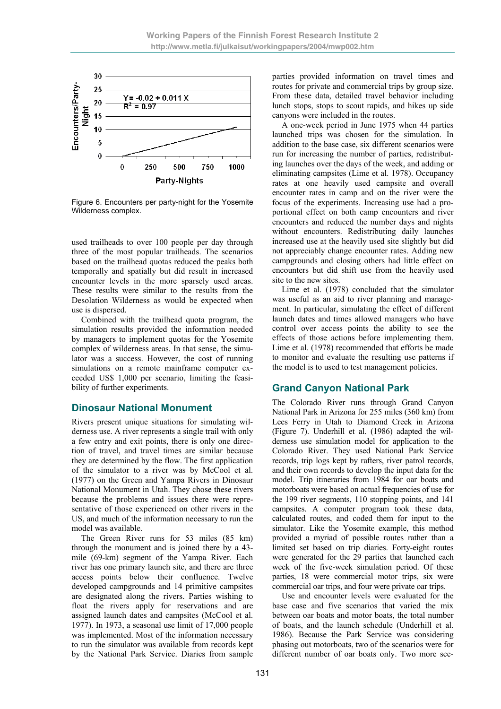

Figure 6. Encounters per party-night for the Yosemite Wilderness complex.

used trailheads to over 100 people per day through three of the most popular trailheads. The scenarios based on the trailhead quotas reduced the peaks both temporally and spatially but did result in increased encounter levels in the more sparsely used areas. These results were similar to the results from the Desolation Wilderness as would be expected when use is dispersed.

Combined with the trailhead quota program, the simulation results provided the information needed by managers to implement quotas for the Yosemite complex of wilderness areas. In that sense, the simulator was a success. However, the cost of running simulations on a remote mainframe computer exceeded US\$ 1,000 per scenario, limiting the feasibility of further experiments.

#### **Dinosaur National Monument**

Rivers present unique situations for simulating wilderness use. A river represents a single trail with only a few entry and exit points, there is only one direction of travel, and travel times are similar because they are determined by the flow. The first application of the simulator to a river was by McCool et al. (1977) on the Green and Yampa Rivers in Dinosaur National Monument in Utah. They chose these rivers because the problems and issues there were representative of those experienced on other rivers in the US, and much of the information necessary to run the model was available.

The Green River runs for 53 miles (85 km) through the monument and is joined there by a 43 mile (69-km) segment of the Yampa River. Each river has one primary launch site, and there are three access points below their confluence. Twelve developed campgrounds and 14 primitive campsites are designated along the rivers. Parties wishing to float the rivers apply for reservations and are assigned launch dates and campsites (McCool et al. 1977). In 1973, a seasonal use limit of 17,000 people was implemented. Most of the information necessary to run the simulator was available from records kept by the National Park Service. Diaries from sample

parties provided information on travel times and routes for private and commercial trips by group size. From these data, detailed travel behavior including lunch stops, stops to scout rapids, and hikes up side canyons were included in the routes.

A one-week period in June 1975 when 44 parties launched trips was chosen for the simulation. In addition to the base case, six different scenarios were run for increasing the number of parties, redistributing launches over the days of the week, and adding or eliminating campsites (Lime et al. 1978). Occupancy rates at one heavily used campsite and overall encounter rates in camp and on the river were the focus of the experiments. Increasing use had a proportional effect on both camp encounters and river encounters and reduced the number days and nights without encounters. Redistributing daily launches increased use at the heavily used site slightly but did not appreciably change encounter rates. Adding new campgrounds and closing others had little effect on encounters but did shift use from the heavily used site to the new sites.

Lime et al. (1978) concluded that the simulator was useful as an aid to river planning and management. In particular, simulating the effect of different launch dates and times allowed managers who have control over access points the ability to see the effects of those actions before implementing them. Lime et al. (1978) recommended that efforts be made to monitor and evaluate the resulting use patterns if the model is to used to test management policies.

# **Grand Canyon National Park**

The Colorado River runs through Grand Canyon National Park in Arizona for 255 miles (360 km) from Lees Ferry in Utah to Diamond Creek in Arizona (Figure 7). Underhill et al. (1986) adapted the wilderness use simulation model for application to the Colorado River. They used National Park Service records, trip logs kept by rafters, river patrol records, and their own records to develop the input data for the model. Trip itineraries from 1984 for oar boats and motorboats were based on actual frequencies of use for the 199 river segments, 110 stopping points, and 141 campsites. A computer program took these data, calculated routes, and coded them for input to the simulator. Like the Yosemite example, this method provided a myriad of possible routes rather than a limited set based on trip diaries. Forty-eight routes were generated for the 29 parties that launched each week of the five-week simulation period. Of these parties, 18 were commercial motor trips, six were commercial oar trips, and four were private oar trips.

Use and encounter levels were evaluated for the base case and five scenarios that varied the mix between oar boats and motor boats, the total number of boats, and the launch schedule (Underhill et al. 1986). Because the Park Service was considering phasing out motorboats, two of the scenarios were for different number of oar boats only. Two more sce-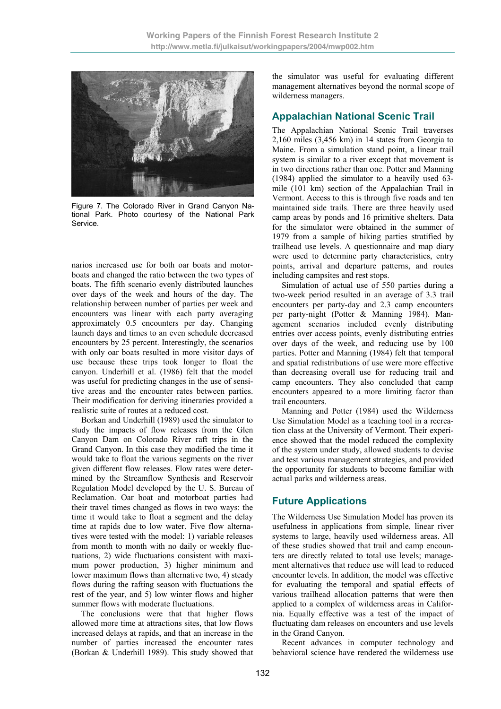

Figure 7. The Colorado River in Grand Canyon National Park. Photo courtesy of the National Park Service.

narios increased use for both oar boats and motorboats and changed the ratio between the two types of boats. The fifth scenario evenly distributed launches over days of the week and hours of the day. The relationship between number of parties per week and encounters was linear with each party averaging approximately 0.5 encounters per day. Changing launch days and times to an even schedule decreased encounters by 25 percent. Interestingly, the scenarios with only oar boats resulted in more visitor days of use because these trips took longer to float the canyon. Underhill et al. (1986) felt that the model was useful for predicting changes in the use of sensitive areas and the encounter rates between parties. Their modification for deriving itineraries provided a realistic suite of routes at a reduced cost.

Borkan and Underhill (1989) used the simulator to study the impacts of flow releases from the Glen Canyon Dam on Colorado River raft trips in the Grand Canyon. In this case they modified the time it would take to float the various segments on the river given different flow releases. Flow rates were determined by the Streamflow Synthesis and Reservoir Regulation Model developed by the U. S. Bureau of Reclamation. Oar boat and motorboat parties had their travel times changed as flows in two ways: the time it would take to float a segment and the delay time at rapids due to low water. Five flow alternatives were tested with the model: 1) variable releases from month to month with no daily or weekly fluctuations, 2) wide fluctuations consistent with maximum power production, 3) higher minimum and lower maximum flows than alternative two, 4) steady flows during the rafting season with fluctuations the rest of the year, and 5) low winter flows and higher summer flows with moderate fluctuations.

The conclusions were that that higher flows allowed more time at attractions sites, that low flows increased delays at rapids, and that an increase in the number of parties increased the encounter rates (Borkan & Underhill 1989). This study showed that the simulator was useful for evaluating different management alternatives beyond the normal scope of wilderness managers.

#### **Appalachian National Scenic Trail**

The Appalachian National Scenic Trail traverses 2,160 miles (3,456 km) in 14 states from Georgia to Maine. From a simulation stand point, a linear trail system is similar to a river except that movement is in two directions rather than one. Potter and Manning (1984) applied the simulator to a heavily used 63 mile (101 km) section of the Appalachian Trail in Vermont. Access to this is through five roads and ten maintained side trails. There are three heavily used camp areas by ponds and 16 primitive shelters. Data for the simulator were obtained in the summer of 1979 from a sample of hiking parties stratified by trailhead use levels. A questionnaire and map diary were used to determine party characteristics, entry points, arrival and departure patterns, and routes including campsites and rest stops.

Simulation of actual use of 550 parties during a two-week period resulted in an average of 3.3 trail encounters per party-day and 2.3 camp encounters per party-night (Potter & Manning 1984). Management scenarios included evenly distributing entries over access points, evenly distributing entries over days of the week, and reducing use by 100 parties. Potter and Manning (1984) felt that temporal and spatial redistributions of use were more effective than decreasing overall use for reducing trail and camp encounters. They also concluded that camp encounters appeared to a more limiting factor than trail encounters.

Manning and Potter (1984) used the Wilderness Use Simulation Model as a teaching tool in a recreation class at the University of Vermont. Their experience showed that the model reduced the complexity of the system under study, allowed students to devise and test various management strategies, and provided the opportunity for students to become familiar with actual parks and wilderness areas.

# **Future Applications**

The Wilderness Use Simulation Model has proven its usefulness in applications from simple, linear river systems to large, heavily used wilderness areas. All of these studies showed that trail and camp encounters are directly related to total use levels; management alternatives that reduce use will lead to reduced encounter levels. In addition, the model was effective for evaluating the temporal and spatial effects of various trailhead allocation patterns that were then applied to a complex of wilderness areas in California. Equally effective was a test of the impact of fluctuating dam releases on encounters and use levels in the Grand Canyon.

Recent advances in computer technology and behavioral science have rendered the wilderness use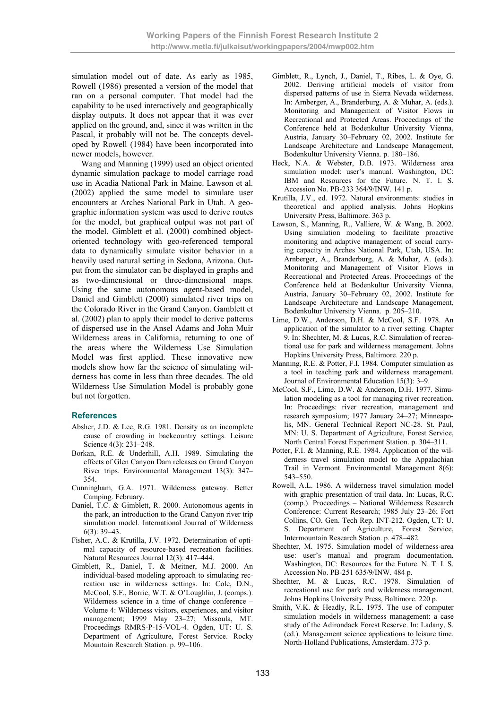simulation model out of date. As early as 1985, Rowell (1986) presented a version of the model that ran on a personal computer. That model had the capability to be used interactively and geographically display outputs. It does not appear that it was ever applied on the ground, and, since it was written in the Pascal, it probably will not be. The concepts developed by Rowell (1984) have been incorporated into newer models, however.

Wang and Manning (1999) used an object oriented dynamic simulation package to model carriage road use in Acadia National Park in Maine. Lawson et al. (2002) applied the same model to simulate user encounters at Arches National Park in Utah. A geographic information system was used to derive routes for the model, but graphical output was not part of the model. Gimblett et al. (2000) combined objectoriented technology with geo-referenced temporal data to dynamically simulate visitor behavior in a heavily used natural setting in Sedona, Arizona. Output from the simulator can be displayed in graphs and as two-dimensional or three-dimensional maps. Using the same autonomous agent-based model, Daniel and Gimblett (2000) simulated river trips on the Colorado River in the Grand Canyon. Gamblett et al. (2002) plan to apply their model to derive patterns of dispersed use in the Ansel Adams and John Muir Wilderness areas in California, returning to one of the areas where the Wilderness Use Simulation Model was first applied. These innovative new models show how far the science of simulating wilderness has come in less than three decades. The old Wilderness Use Simulation Model is probably gone but not forgotten.

#### **References**

- Absher, J.D. & Lee, R.G. 1981. Density as an incomplete cause of crowding in backcountry settings. Leisure Science 4(3): 231–248.
- Borkan, R.E. & Underhill, A.H. 1989. Simulating the effects of Glen Canyon Dam releases on Grand Canyon River trips. Environmental Management 13(3): 347– 354.
- Cunningham, G.A. 1971. Wilderness gateway. Better Camping. February.
- Daniel, T.C. & Gimblett, R. 2000. Autonomous agents in the park, an introduction to the Grand Canyon river trip simulation model. International Journal of Wilderness  $6(3)$ : 39–43
- Fisher, A.C. & Krutilla, J.V. 1972. Determination of optimal capacity of resource-based recreation facilities. Natural Resources Journal 12(3): 417–444.
- Gimblett, R., Daniel, T. & Meitner, M.J. 2000. An individual-based modeling approach to simulating recreation use in wilderness settings. In: Cole, D.N., McCool, S.F., Borrie, W.T. & O'Loughlin, J. (comps.). Wilderness science in a time of change conference – Volume 4: Wilderness visitors, experiences, and visitor management; 1999 May 23–27; Missoula, MT. Proceedings RMRS-P-15-VOL-4. Ogden, UT: U. S. Department of Agriculture, Forest Service. Rocky Mountain Research Station. p. 99–106.
- Gimblett, R., Lynch, J., Daniel, T., Ribes, L. & Oye, G. 2002. Deriving artificial models of visitor from dispersed patterns of use in Sierra Nevada wilderness. In: Arnberger, A., Branderburg, A. & Muhar, A. (eds.). Monitoring and Management of Visitor Flows in Recreational and Protected Areas. Proceedings of the Conference held at Bodenkultur University Vienna, Austria, January 30–February 02, 2002. Institute for Landscape Architecture and Landscape Management, Bodenkultur University Vienna. p. 180–186.
- Heck, N.A. & Webster, D.B. 1973. Wilderness area simulation model: user's manual. Washington, DC: IBM and Resources for the Future. N. T. I. S. Accession No. PB-233 364/9/INW. 141 p.
- Krutilla, J.V., ed. 1972. Natural environments: studies in theoretical and applied analysis. Johns Hopkins University Press, Baltimore. 363 p.
- Lawson, S., Manning, R., Valliere, W. & Wang, B. 2002. Using simulation modeling to facilitate proactive monitoring and adaptive management of social carrying capacity in Arches National Park, Utah, USA. In: Arnberger, A., Branderburg, A. & Muhar, A. (eds.). Monitoring and Management of Visitor Flows in Recreational and Protected Areas. Proceedings of the Conference held at Bodenkultur University Vienna, Austria, January 30–February 02, 2002. Institute for Landscape Architecture and Landscape Management, Bodenkultur University Vienna. p. 205–210.
- Lime, D.W., Anderson, D.H. & McCool, S.F. 1978. An application of the simulator to a river setting. Chapter 9. In: Shechter, M. & Lucas, R.C. Simulation of recreational use for park and wilderness management. Johns Hopkins University Press, Baltimore. 220 p.
- Manning, R.E. & Potter, F.I. 1984. Computer simulation as a tool in teaching park and wilderness management. Journal of Environmental Education 15(3): 3–9.
- McCool, S.F., Lime, D.W. & Anderson, D.H. 1977. Simulation modeling as a tool for managing river recreation. In: Proceedings: river recreation, management and research symposium; 1977 January 24–27; Minneapolis, MN. General Technical Report NC-28. St. Paul, MN: U. S. Department of Agriculture, Forest Service, North Central Forest Experiment Station. p. 304–311.
- Potter, F.I. & Manning, R.E. 1984. Application of the wilderness travel simulation model to the Appalachian Trail in Vermont. Environmental Management 8(6): 543–550.
- Rowell, A.L. 1986. A wilderness travel simulation model with graphic presentation of trail data. In: Lucas, R.C. (comp.). Proceedings – National Wilderness Research Conference: Current Research; 1985 July 23–26; Fort Collins, CO. Gen. Tech Rep. INT-212. Ogden, UT: U. S. Department of Agriculture, Forest Service, Intermountain Research Station. p. 478–482.
- Shechter, M. 1975. Simulation model of wilderness-area use: user's manual and program documentation. Washington, DC: Resources for the Future. N. T. I. S. Accession No. PB-251 635/9/INW. 484 p.
- Shechter, M. & Lucas, R.C. 1978. Simulation of recreational use for park and wilderness management. Johns Hopkins University Press, Baltimore. 220 p.
- Smith, V.K. & Headly, R.L. 1975. The use of computer simulation models in wilderness management: a case study of the Adirondack Forest Reserve. In: Ladany, S. (ed.). Management science applications to leisure time. North-Holland Publications, Amsterdam. 373 p.